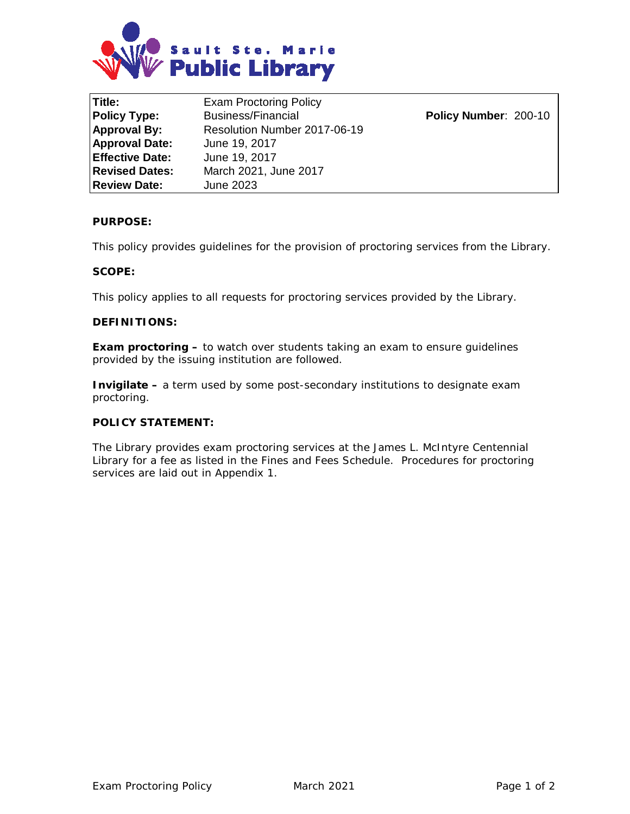

**Title:** Exam Proctoring Policy **Policy Type:** Business/Financial **Policy Number**: 200-10 **Approval By:** Resolution Number 2017-06-19 **Approval Date:** June 19, 2017 **Effective Date:** June 19, 2017 **Revised Dates:** March 2021, June 2017 **Review Date:** June 2023

## **PURPOSE:**

This policy provides guidelines for the provision of proctoring services from the Library.

#### **SCOPE:**

This policy applies to all requests for proctoring services provided by the Library.

### **DEFINITIONS:**

**Exam proctoring –** to watch over students taking an exam to ensure guidelines provided by the issuing institution are followed.

**Invigilate –** a term used by some post-secondary institutions to designate exam proctoring.

#### **POLICY STATEMENT:**

The Library provides exam proctoring services at the James L. McIntyre Centennial Library for a fee as listed in the Fines and Fees Schedule. Procedures for proctoring services are laid out in Appendix 1.